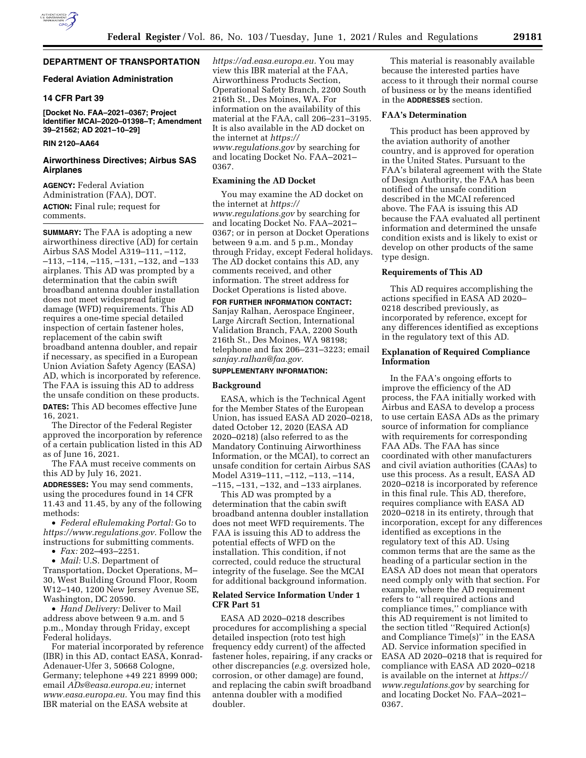# **DEPARTMENT OF TRANSPORTATION**

# **Federal Aviation Administration**

## **14 CFR Part 39**

**[Docket No. FAA–2021–0367; Project Identifier MCAI–2020–01398–T; Amendment 39–21562; AD 2021–10–29]** 

# **RIN 2120–AA64**

## **Airworthiness Directives; Airbus SAS Airplanes**

**AGENCY:** Federal Aviation Administration (FAA), DOT. **ACTION:** Final rule; request for comments.

**SUMMARY:** The FAA is adopting a new airworthiness directive (AD) for certain Airbus SAS Model A319–111, –112, –113, –114, –115, –131, –132, and –133 airplanes. This AD was prompted by a determination that the cabin swift broadband antenna doubler installation does not meet widespread fatigue damage (WFD) requirements. This AD requires a one-time special detailed inspection of certain fastener holes, replacement of the cabin swift broadband antenna doubler, and repair if necessary, as specified in a European Union Aviation Safety Agency (EASA) AD, which is incorporated by reference. The FAA is issuing this AD to address the unsafe condition on these products. **DATES:** This AD becomes effective June 16, 2021.

The Director of the Federal Register approved the incorporation by reference of a certain publication listed in this AD as of June 16, 2021.

The FAA must receive comments on this AD by July 16, 2021.

**ADDRESSES:** You may send comments, using the procedures found in 14 CFR 11.43 and 11.45, by any of the following methods:

• *Federal eRulemaking Portal:* Go to *[https://www.regulations.gov.](https://www.regulations.gov)* Follow the instructions for submitting comments.

• *Fax:* 202–493–2251.

• *Mail:* U.S. Department of Transportation, Docket Operations, M– 30, West Building Ground Floor, Room W12–140, 1200 New Jersey Avenue SE, Washington, DC 20590.

• *Hand Delivery:* Deliver to Mail address above between 9 a.m. and 5 p.m., Monday through Friday, except Federal holidays.

For material incorporated by reference (IBR) in this AD, contact EASA, Konrad-Adenauer-Ufer 3, 50668 Cologne, Germany; telephone +49 221 8999 000; email *[ADs@easa.europa.eu;](mailto:ADs@easa.europa.eu)* internet *[www.easa.europa.eu.](http://www.easa.europa.eu)* You may find this IBR material on the EASA website at

*[https://ad.easa.europa.eu.](https://ad.easa.europa.eu)* You may view this IBR material at the FAA, Airworthiness Products Section, Operational Safety Branch, 2200 South 216th St., Des Moines, WA. For information on the availability of this material at the FAA, call 206–231–3195. It is also available in the AD docket on the internet at *[https://](https://www.regulations.gov) [www.regulations.gov](https://www.regulations.gov)* by searching for and locating Docket No. FAA–2021– 0367.

## **Examining the AD Docket**

You may examine the AD docket on the internet at *[https://](https://www.regulations.gov) [www.regulations.gov](https://www.regulations.gov)* by searching for and locating Docket No. FAA–2021– 0367; or in person at Docket Operations between 9 a.m. and 5 p.m., Monday through Friday, except Federal holidays. The AD docket contains this AD, any comments received, and other information. The street address for Docket Operations is listed above.

### **FOR FURTHER INFORMATION CONTACT:**

Sanjay Ralhan, Aerospace Engineer, Large Aircraft Section, International Validation Branch, FAA, 2200 South 216th St., Des Moines, WA 98198; telephone and fax 206–231–3223; email *[sanjay.ralhan@faa.gov.](mailto:sanjay.ralhan@faa.gov)* 

## **SUPPLEMENTARY INFORMATION:**

### **Background**

EASA, which is the Technical Agent for the Member States of the European Union, has issued EASA AD 2020–0218, dated October 12, 2020 (EASA AD 2020–0218) (also referred to as the Mandatory Continuing Airworthiness Information, or the MCAI), to correct an unsafe condition for certain Airbus SAS Model A319–111, –112, –113, –114, –115, –131, –132, and –133 airplanes.

This AD was prompted by a determination that the cabin swift broadband antenna doubler installation does not meet WFD requirements. The FAA is issuing this AD to address the potential effects of WFD on the installation. This condition, if not corrected, could reduce the structural integrity of the fuselage. See the MCAI for additional background information.

## **Related Service Information Under 1 CFR Part 51**

EASA AD 2020–0218 describes procedures for accomplishing a special detailed inspection (roto test high frequency eddy current) of the affected fastener holes, repairing, if any cracks or other discrepancies (*e.g.* oversized hole, corrosion, or other damage) are found, and replacing the cabin swift broadband antenna doubler with a modified doubler.

This material is reasonably available because the interested parties have access to it through their normal course of business or by the means identified in the **ADDRESSES** section.

## **FAA's Determination**

This product has been approved by the aviation authority of another country, and is approved for operation in the United States. Pursuant to the FAA's bilateral agreement with the State of Design Authority, the FAA has been notified of the unsafe condition described in the MCAI referenced above. The FAA is issuing this AD because the FAA evaluated all pertinent information and determined the unsafe condition exists and is likely to exist or develop on other products of the same type design.

## **Requirements of This AD**

This AD requires accomplishing the actions specified in EASA AD 2020– 0218 described previously, as incorporated by reference, except for any differences identified as exceptions in the regulatory text of this AD.

## **Explanation of Required Compliance Information**

In the FAA's ongoing efforts to improve the efficiency of the AD process, the FAA initially worked with Airbus and EASA to develop a process to use certain EASA ADs as the primary source of information for compliance with requirements for corresponding FAA ADs. The FAA has since coordinated with other manufacturers and civil aviation authorities (CAAs) to use this process. As a result, EASA AD 2020–0218 is incorporated by reference in this final rule. This AD, therefore, requires compliance with EASA AD 2020–0218 in its entirety, through that incorporation, except for any differences identified as exceptions in the regulatory text of this AD. Using common terms that are the same as the heading of a particular section in the EASA AD does not mean that operators need comply only with that section. For example, where the AD requirement refers to ''all required actions and compliance times,'' compliance with this AD requirement is not limited to the section titled ''Required Action(s) and Compliance Time(s)'' in the EASA AD. Service information specified in EASA AD 2020–0218 that is required for compliance with EASA AD 2020–0218 is available on the internet at *[https://](https://www.regulations.gov) [www.regulations.gov](https://www.regulations.gov)* by searching for and locating Docket No. FAA–2021– 0367.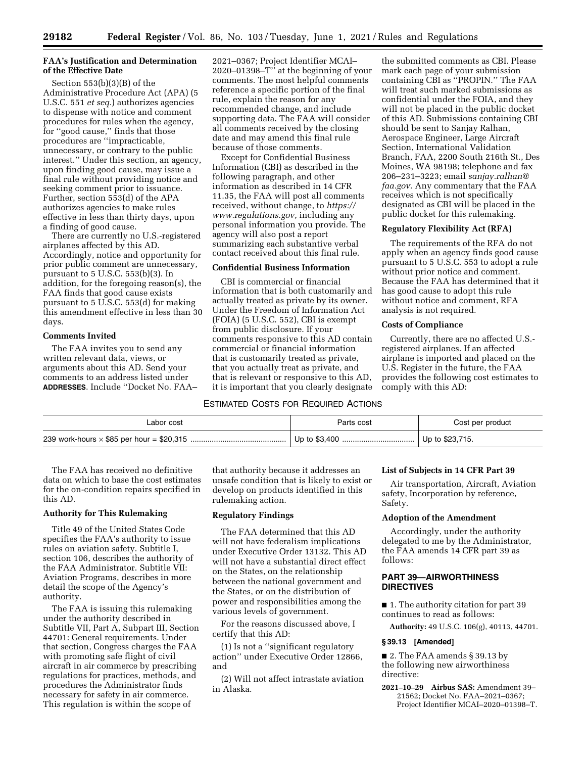# **FAA's Justification and Determination of the Effective Date**

Section 553(b)(3)(B) of the Administrative Procedure Act (APA) (5 U.S.C. 551 *et seq.*) authorizes agencies to dispense with notice and comment procedures for rules when the agency, for ''good cause,'' finds that those procedures are ''impracticable, unnecessary, or contrary to the public interest.'' Under this section, an agency, upon finding good cause, may issue a final rule without providing notice and seeking comment prior to issuance. Further, section 553(d) of the APA authorizes agencies to make rules effective in less than thirty days, upon a finding of good cause.

There are currently no U.S.-registered airplanes affected by this AD. Accordingly, notice and opportunity for prior public comment are unnecessary, pursuant to 5 U.S.C. 553(b)(3). In addition, for the foregoing reason(s), the FAA finds that good cause exists pursuant to 5 U.S.C. 553(d) for making this amendment effective in less than 30 days.

## **Comments Invited**

The FAA invites you to send any written relevant data, views, or arguments about this AD. Send your comments to an address listed under **ADDRESSES**. Include ''Docket No. FAA–

2021–0367; Project Identifier MCAI– 2020–01398–T'' at the beginning of your comments. The most helpful comments reference a specific portion of the final rule, explain the reason for any recommended change, and include supporting data. The FAA will consider all comments received by the closing date and may amend this final rule because of those comments.

Except for Confidential Business Information (CBI) as described in the following paragraph, and other information as described in 14 CFR 11.35, the FAA will post all comments received, without change, to *[https://](https://www.regulations.gov) [www.regulations.gov,](https://www.regulations.gov)* including any personal information you provide. The agency will also post a report summarizing each substantive verbal contact received about this final rule.

# **Confidential Business Information**

CBI is commercial or financial information that is both customarily and actually treated as private by its owner. Under the Freedom of Information Act (FOIA) (5 U.S.C. 552), CBI is exempt from public disclosure. If your comments responsive to this AD contain commercial or financial information that is customarily treated as private, that you actually treat as private, and that is relevant or responsive to this AD, it is important that you clearly designate

## ESTIMATED COSTS FOR REQUIRED ACTIONS

the submitted comments as CBI. Please mark each page of your submission containing CBI as "PROPIN." The FAA will treat such marked submissions as confidential under the FOIA, and they will not be placed in the public docket of this AD. Submissions containing CBI should be sent to Sanjay Ralhan, Aerospace Engineer, Large Aircraft Section, International Validation Branch, FAA, 2200 South 216th St., Des Moines, WA 98198; telephone and fax 206–231–3223; email *[sanjay.ralhan@](mailto:sanjay.ralhan@faa.gov) [faa.gov.](mailto:sanjay.ralhan@faa.gov)* Any commentary that the FAA receives which is not specifically designated as CBI will be placed in the public docket for this rulemaking.

### **Regulatory Flexibility Act (RFA)**

The requirements of the RFA do not apply when an agency finds good cause pursuant to 5 U.S.C. 553 to adopt a rule without prior notice and comment. Because the FAA has determined that it has good cause to adopt this rule without notice and comment, RFA analysis is not required.

## **Costs of Compliance**

Currently, there are no affected U.S. registered airplanes. If an affected airplane is imported and placed on the U.S. Register in the future, the FAA provides the following cost estimates to comply with this AD:

| Labor cost | Parts cost | Cost per product  |
|------------|------------|-------------------|
|            |            | Up to $$23,715$ . |

The FAA has received no definitive data on which to base the cost estimates for the on-condition repairs specified in this AD.

# **Authority for This Rulemaking**

Title 49 of the United States Code specifies the FAA's authority to issue rules on aviation safety. Subtitle I, section 106, describes the authority of the FAA Administrator. Subtitle VII: Aviation Programs, describes in more detail the scope of the Agency's authority.

The FAA is issuing this rulemaking under the authority described in Subtitle VII, Part A, Subpart III, Section 44701: General requirements. Under that section, Congress charges the FAA with promoting safe flight of civil aircraft in air commerce by prescribing regulations for practices, methods, and procedures the Administrator finds necessary for safety in air commerce. This regulation is within the scope of

that authority because it addresses an unsafe condition that is likely to exist or develop on products identified in this rulemaking action.

## **Regulatory Findings**

The FAA determined that this AD will not have federalism implications under Executive Order 13132. This AD will not have a substantial direct effect on the States, on the relationship between the national government and the States, or on the distribution of power and responsibilities among the various levels of government.

For the reasons discussed above, I certify that this AD:

(1) Is not a ''significant regulatory action'' under Executive Order 12866, and

(2) Will not affect intrastate aviation in Alaska.

## **List of Subjects in 14 CFR Part 39**

Air transportation, Aircraft, Aviation safety, Incorporation by reference, Safety.

# **Adoption of the Amendment**

Accordingly, under the authority delegated to me by the Administrator, the FAA amends 14 CFR part 39 as follows:

# **PART 39—AIRWORTHINESS DIRECTIVES**

■ 1. The authority citation for part 39 continues to read as follows:

**Authority:** 49 U.S.C. 106(g), 40113, 44701.

## **§ 39.13 [Amended]**

■ 2. The FAA amends § 39.13 by the following new airworthiness directive:

**2021–10–29 Airbus SAS:** Amendment 39– 21562; Docket No. FAA–2021–0367; Project Identifier MCAI–2020–01398–T.